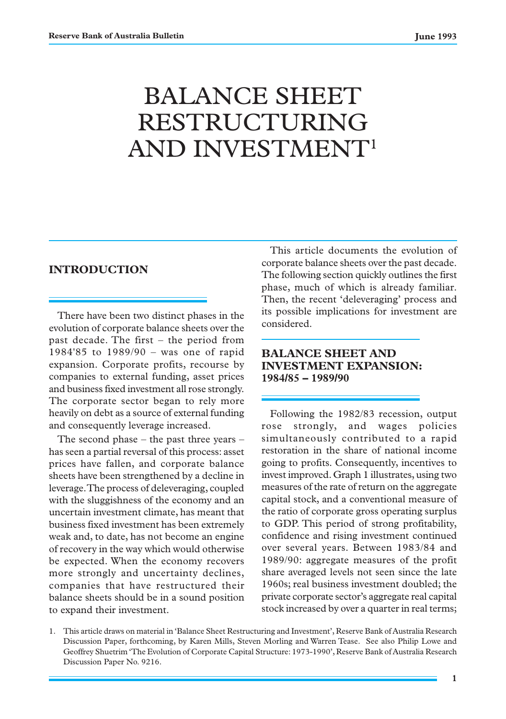# BALANCE SHEET RESTRUCTURING AND INVESTMENT1

# **INTRODUCTION**

There have been two distinct phases in the evolution of corporate balance sheets over the past decade. The first – the period from 1984'85 to 1989/90 – was one of rapid expansion. Corporate profits, recourse by companies to external funding, asset prices and business fixed investment all rose strongly. The corporate sector began to rely more heavily on debt as a source of external funding and consequently leverage increased.

The second phase – the past three years – has seen a partial reversal of this process: asset prices have fallen, and corporate balance sheets have been strengthened by a decline in leverage. The process of deleveraging, coupled with the sluggishness of the economy and an uncertain investment climate, has meant that business fixed investment has been extremely weak and, to date, has not become an engine of recovery in the way which would otherwise be expected. When the economy recovers more strongly and uncertainty declines, companies that have restructured their balance sheets should be in a sound position to expand their investment.

This article documents the evolution of corporate balance sheets over the past decade. The following section quickly outlines the first phase, much of which is already familiar. Then, the recent 'deleveraging' process and its possible implications for investment are considered.

# **BALANCE SHEET AND INVESTMENT EXPANSION: 1984/85 – 1989/90**

Following the 1982/83 recession, output rose strongly, and wages policies simultaneously contributed to a rapid restoration in the share of national income going to profits. Consequently, incentives to invest improved. Graph 1 illustrates, using two measures of the rate of return on the aggregate capital stock, and a conventional measure of the ratio of corporate gross operating surplus to GDP. This period of strong profitability, confidence and rising investment continued over several years. Between 1983/84 and 1989/90: aggregate measures of the profit share averaged levels not seen since the late 1960s; real business investment doubled; the private corporate sector's aggregate real capital stock increased by over a quarter in real terms;

<sup>1.</sup> This article draws on material in 'Balance Sheet Restructuring and Investment', Reserve Bank of Australia Research Discussion Paper, forthcoming, by Karen Mills, Steven Morling and Warren Tease. See also Philip Lowe and Geoffrey Shuetrim 'The Evolution of Corporate Capital Structure: 1973-1990', Reserve Bank of Australia Research Discussion Paper No. 9216.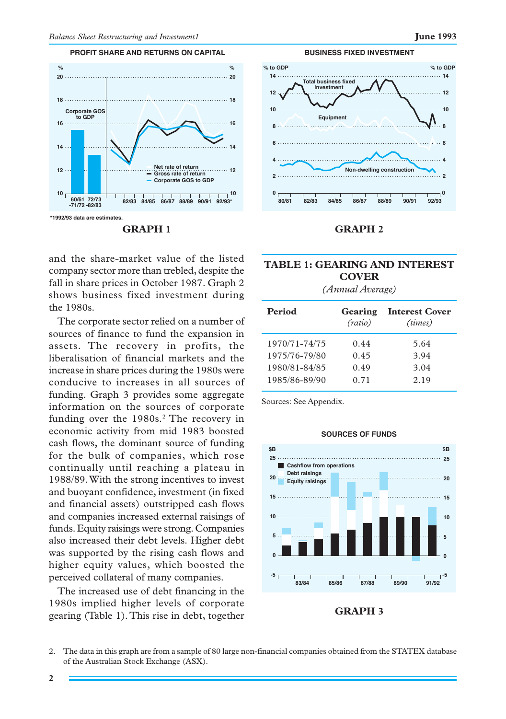

and the share-market value of the listed company sector more than trebled, despite the fall in share prices in October 1987. Graph 2 shows business fixed investment during the 1980s.

The corporate sector relied on a number of sources of finance to fund the expansion in assets. The recovery in profits, the liberalisation of financial markets and the increase in share prices during the 1980s were conducive to increases in all sources of funding. Graph 3 provides some aggregate information on the sources of corporate funding over the 1980s.<sup>2</sup> The recovery in economic activity from mid 1983 boosted cash flows, the dominant source of funding for the bulk of companies, which rose continually until reaching a plateau in 1988/89. With the strong incentives to invest and buoyant confidence, investment (in fixed and financial assets) outstripped cash flows and companies increased external raisings of funds. Equity raisings were strong. Companies also increased their debt levels. Higher debt was supported by the rising cash flows and higher equity values, which boosted the perceived collateral of many companies.

The increased use of debt financing in the 1980s implied higher levels of corporate gearing (Table 1). This rise in debt, together



# GRAPH 1 GRAPH 2

# **TABLE 1: GEARING AND INTEREST COVER**

*(Annual Average)*

| Period        | Gearing<br>(ratio) | <b>Interest Cover</b><br>(times) |
|---------------|--------------------|----------------------------------|
| 1970/71-74/75 | 0.44               | 5.64                             |
| 1975/76-79/80 | 0.45               | 3.94                             |
| 1980/81-84/85 | 0.49               | 3.04                             |
| 1985/86-89/90 | 0.71               | 2.19                             |

Sources: See Appendix.



### **SOURCES OF FUNDS**

<sup>2.</sup> The data in this graph are from a sample of 80 large non-financial companies obtained from the STATEX database of the Australian Stock Exchange (ASX).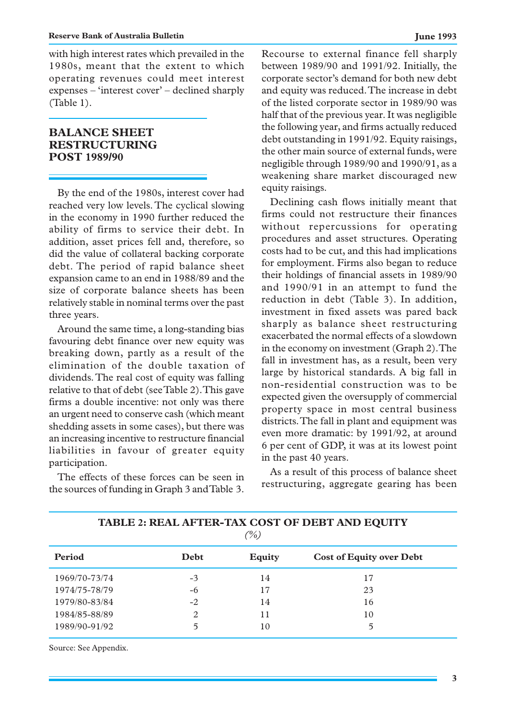with high interest rates which prevailed in the 1980s, meant that the extent to which operating revenues could meet interest expenses – 'interest cover' – declined sharply (Table 1).

# **BALANCE SHEET RESTRUCTURING POST 1989/90**

By the end of the 1980s, interest cover had reached very low levels. The cyclical slowing in the economy in 1990 further reduced the ability of firms to service their debt. In addition, asset prices fell and, therefore, so did the value of collateral backing corporate debt. The period of rapid balance sheet expansion came to an end in 1988/89 and the size of corporate balance sheets has been relatively stable in nominal terms over the past three years.

Around the same time, a long-standing bias favouring debt finance over new equity was breaking down, partly as a result of the elimination of the double taxation of dividends. The real cost of equity was falling relative to that of debt (see Table 2). This gave firms a double incentive: not only was there an urgent need to conserve cash (which meant shedding assets in some cases), but there was an increasing incentive to restructure financial liabilities in favour of greater equity participation.

The effects of these forces can be seen in the sources of funding in Graph 3 and Table 3. Recourse to external finance fell sharply between 1989/90 and 1991/92. Initially, the corporate sector's demand for both new debt and equity was reduced. The increase in debt of the listed corporate sector in 1989/90 was half that of the previous year. It was negligible the following year, and firms actually reduced debt outstanding in 1991/92. Equity raisings, the other main source of external funds, were negligible through 1989/90 and 1990/91, as a weakening share market discouraged new equity raisings.

Declining cash flows initially meant that firms could not restructure their finances without repercussions for operating procedures and asset structures. Operating costs had to be cut, and this had implications for employment. Firms also began to reduce their holdings of financial assets in 1989/90 and 1990/91 in an attempt to fund the reduction in debt (Table 3). In addition, investment in fixed assets was pared back sharply as balance sheet restructuring exacerbated the normal effects of a slowdown in the economy on investment (Graph 2). The fall in investment has, as a result, been very large by historical standards. A big fall in non-residential construction was to be expected given the oversupply of commercial property space in most central business districts. The fall in plant and equipment was even more dramatic: by 1991/92, at around 6 per cent of GDP, it was at its lowest point in the past 40 years.

As a result of this process of balance sheet restructuring, aggregate gearing has been

| $( \% )$      |                |               |                                 |  |  |  |
|---------------|----------------|---------------|---------------------------------|--|--|--|
| Period        | Debt           | <b>Equity</b> | <b>Cost of Equity over Debt</b> |  |  |  |
| 1969/70-73/74 | $-3$           | 14            | 17                              |  |  |  |
| 1974/75-78/79 | -6             | 17            | 23                              |  |  |  |
| 1979/80-83/84 | $-2$           | 14            | 16                              |  |  |  |
| 1984/85-88/89 | $\mathfrak{D}$ | 11            | 10                              |  |  |  |
| 1989/90-91/92 | 5              | 10            | 5                               |  |  |  |

# **TABLE 2: REAL AFTER-TAX COST OF DEBT AND EQUITY**

Source: See Appendix.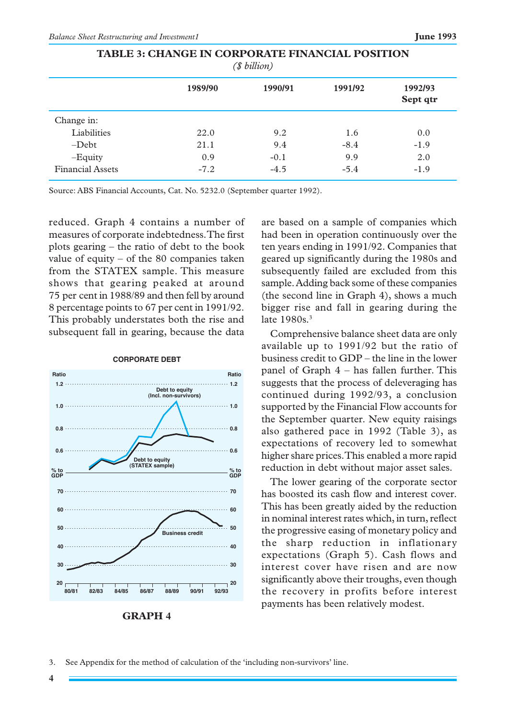| (\$ billion)            |         |         |         |                     |  |  |
|-------------------------|---------|---------|---------|---------------------|--|--|
|                         | 1989/90 | 1990/91 | 1991/92 | 1992/93<br>Sept qtr |  |  |
| Change in:              |         |         |         |                     |  |  |
| Liabilities             | 22.0    | 9.2     | 1.6     | 0.0                 |  |  |
| $-D$ ebt                | 21.1    | 9.4     | $-8.4$  | $-1.9$              |  |  |
| -Equity                 | 0.9     | $-0.1$  | 9.9     | 2.0                 |  |  |
| <b>Financial Assets</b> | $-7.2$  | $-4.5$  | $-5.4$  | $-1.9$              |  |  |

**TABLE 3: CHANGE IN CORPORATE FINANCIAL POSITION**

Source: ABS Financial Accounts, Cat. No. 5232.0 (September quarter 1992).

reduced. Graph 4 contains a number of measures of corporate indebtedness. The first plots gearing – the ratio of debt to the book value of equity – of the 80 companies taken from the STATEX sample. This measure shows that gearing peaked at around 75 per cent in 1988/89 and then fell by around 8 percentage points to 67 per cent in 1991/92. This probably understates both the rise and subsequent fall in gearing, because the data





are based on a sample of companies which had been in operation continuously over the ten years ending in 1991/92. Companies that geared up significantly during the 1980s and subsequently failed are excluded from this sample. Adding back some of these companies (the second line in Graph 4), shows a much bigger rise and fall in gearing during the late 1980s.<sup>3</sup>

Comprehensive balance sheet data are only available up to 1991/92 but the ratio of business credit to GDP – the line in the lower panel of Graph 4 – has fallen further. This suggests that the process of deleveraging has continued during 1992/93, a conclusion supported by the Financial Flow accounts for the September quarter. New equity raisings also gathered pace in 1992 (Table 3), as expectations of recovery led to somewhat higher share prices. This enabled a more rapid reduction in debt without major asset sales.

The lower gearing of the corporate sector has boosted its cash flow and interest cover. This has been greatly aided by the reduction in nominal interest rates which, in turn, reflect the progressive easing of monetary policy and the sharp reduction in inflationary expectations (Graph 5). Cash flows and interest cover have risen and are now significantly above their troughs, even though the recovery in profits before interest payments has been relatively modest.

3. See Appendix for the method of calculation of the 'including non-survivors' line.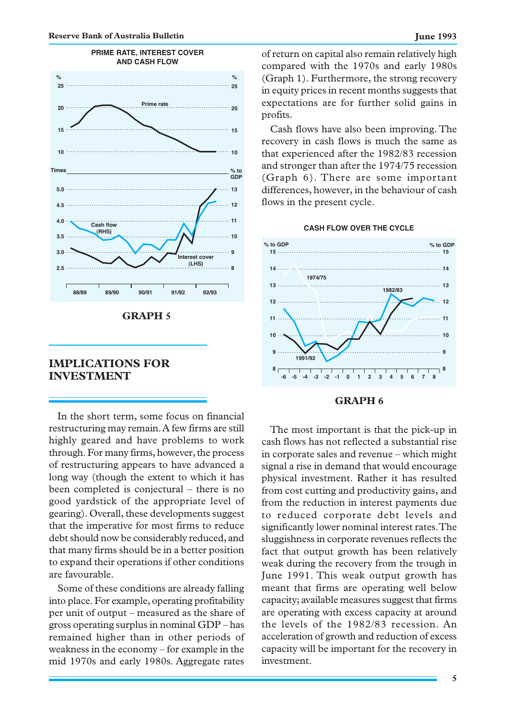

# **PRIME RATE, INTEREST COVER**

# **GRAPH 5**

# **IMPLICATIONS FOR INVESTMENT**

In the short term, some focus on financial restructuring may remain. A few firms are still highly geared and have problems to work through. For many firms, however, the process of restructuring appears to have advanced a long way (though the extent to which it has been completed is conjectural – there is no good yardstick of the appropriate level of gearing). Overall, these developments suggest that the imperative for most firms to reduce debt should now be considerably reduced, and that many firms should be in a better position to expand their operations if other conditions are favourable.

Some of these conditions are already falling into place. For example, operating profitability per unit of output – measured as the share of gross operating surplus in nominal GDP – has remained higher than in other periods of weakness in the economy – for example in the mid 1970s and early 1980s. Aggregate rates

of return on capital also remain relatively high compared with the 1970s and early 1980s (Graph 1). Furthermore, the strong recovery in equity prices in recent months suggests that expectations are for further solid gains in profits.

Cash flows have also been improving. The recovery in cash flows is much the same as that experienced after the 1982/83 recession and stronger than after the 1974/75 recession (Graph 6). There are some important differences, however, in the behaviour of cash flows in the present cycle.

**CASH FLOW OVER THE CYCLE**



## **GRAPH 6**

The most important is that the pick-up in cash flows has not reflected a substantial rise in corporate sales and revenue – which might signal a rise in demand that would encourage physical investment. Rather it has resulted from cost cutting and productivity gains, and from the reduction in interest payments due to reduced corporate debt levels and significantly lower nominal interest rates. The sluggishness in corporate revenues reflects the fact that output growth has been relatively weak during the recovery from the trough in June 1991. This weak output growth has meant that firms are operating well below capacity; available measures suggest that firms are operating with excess capacity at around the levels of the 1982/83 recession. An acceleration of growth and reduction of excess capacity will be important for the recovery in investment.